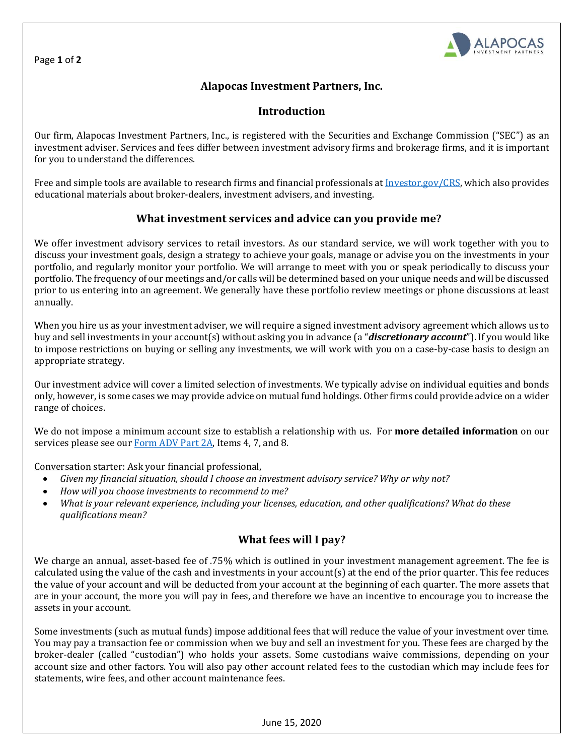Page **1** of **2**



# **Alapocas Investment Partners, Inc.**

# **Introduction**

Our firm, Alapocas Investment Partners, Inc., is registered with the Securities and Exchange Commission ("SEC") as an investment adviser. Services and fees differ between investment advisory firms and brokerage firms, and it is important for you to understand the differences.

Free and simple tools are available to research firms and financial professionals at [Investor.gov/CRS,](http://www.investor.gov/CRS) which also provides educational materials about broker-dealers, investment advisers, and investing.

# **What investment services and advice can you provide me?**

We offer investment advisory services to retail investors. As our standard service, we will work together with you to discuss your investment goals, design a strategy to achieve your goals, manage or advise you on the investments in your portfolio, and regularly monitor your portfolio. We will arrange to meet with you or speak periodically to discuss your portfolio. The frequency of our meetings and/or calls will be determined based on your unique needs and will be discussed prior to us entering into an agreement. We generally have these portfolio review meetings or phone discussions at least annually.

When you hire us as your investment adviser, we will require a signed investment advisory agreement which allows us to buy and sell investments in your account(s) without asking you in advance (a "*discretionary account*"). If you would like to impose restrictions on buying or selling any investments, we will work with you on a case-by-case basis to design an appropriate strategy.

Our investment advice will cover a limited selection of investments. We typically advise on individual equities and bonds only, however, is some cases we may provide advice on mutual fund holdings. Other firms could provide advice on a wider range of choices.

We do not impose a minimum account size to establish a relationship with us. For **more detailed information** on our services please see ou[r Form ADV Part 2A,](https://files.adviserinfo.sec.gov/IAPD/Content/Common/crd_iapd_Brochure.aspx?BRCHR_VRSN_ID=629222) Items 4, 7, and 8.

Conversation starter: Ask your financial professional,

- *Given my financial situation, should I choose an investment advisory service? Why or why not?*
- *How will you choose investments to recommend to me?*
- *What is your relevant experience, including your licenses, education, and other qualifications? What do these qualifications mean?*

# **What fees will I pay?**

We charge an annual, asset-based fee of .75% which is outlined in your investment management agreement. The fee is calculated using the value of the cash and investments in your account( $s$ ) at the end of the prior quarter. This fee reduces the value of your account and will be deducted from your account at the beginning of each quarter. The more assets that are in your account, the more you will pay in fees, and therefore we have an incentive to encourage you to increase the assets in your account.

Some investments (such as mutual funds) impose additional fees that will reduce the value of your investment over time. You may pay a transaction fee or commission when we buy and sell an investment for you. These fees are charged by the broker-dealer (called "custodian") who holds your assets. Some custodians waive commissions, depending on your account size and other factors. You will also pay other account related fees to the custodian which may include fees for statements, wire fees, and other account maintenance fees.